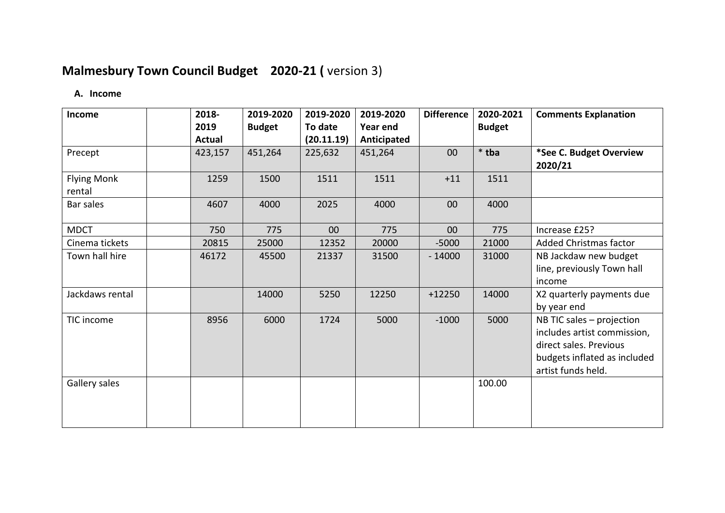# **Malmesbury Town Council Budget 2020-21 (** version 3)

#### **A. Income**

| Income                       | 2018-         | 2019-2020     | 2019-2020       | 2019-2020   | <b>Difference</b> | 2020-2021     | <b>Comments Explanation</b>                                                                                                              |
|------------------------------|---------------|---------------|-----------------|-------------|-------------------|---------------|------------------------------------------------------------------------------------------------------------------------------------------|
|                              | 2019          | <b>Budget</b> | To date         | Year end    |                   | <b>Budget</b> |                                                                                                                                          |
|                              | <b>Actual</b> |               | (20.11.19)      | Anticipated |                   |               |                                                                                                                                          |
| Precept                      | 423,157       | 451,264       | 225,632         | 451,264     | 00                | $*$ tba       | *See C. Budget Overview<br>2020/21                                                                                                       |
| <b>Flying Monk</b><br>rental | 1259          | 1500          | 1511            | 1511        | $+11$             | 1511          |                                                                                                                                          |
| Bar sales                    | 4607          | 4000          | 2025            | 4000        | 00                | 4000          |                                                                                                                                          |
| <b>MDCT</b>                  | 750           | 775           | 00 <sup>°</sup> | 775         | 00                | 775           | Increase £25?                                                                                                                            |
| Cinema tickets               | 20815         | 25000         | 12352           | 20000       | $-5000$           | 21000         | Added Christmas factor                                                                                                                   |
| Town hall hire               | 46172         | 45500         | 21337           | 31500       | $-14000$          | 31000         | NB Jackdaw new budget<br>line, previously Town hall<br>income                                                                            |
| Jackdaws rental              |               | 14000         | 5250            | 12250       | $+12250$          | 14000         | X2 quarterly payments due<br>by year end                                                                                                 |
| TIC income                   | 8956          | 6000          | 1724            | 5000        | $-1000$           | 5000          | NB TIC sales - projection<br>includes artist commission,<br>direct sales. Previous<br>budgets inflated as included<br>artist funds held. |
| Gallery sales                |               |               |                 |             |                   | 100.00        |                                                                                                                                          |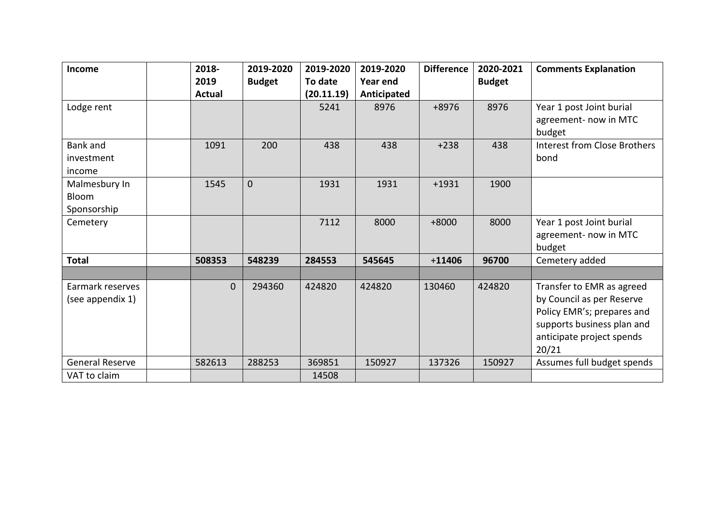| <b>Income</b>          | 2018-    | 2019-2020      | 2019-2020  | 2019-2020   | <b>Difference</b> | 2020-2021     | <b>Comments Explanation</b>         |
|------------------------|----------|----------------|------------|-------------|-------------------|---------------|-------------------------------------|
|                        | 2019     | <b>Budget</b>  | To date    | Year end    |                   | <b>Budget</b> |                                     |
|                        | Actual   |                | (20.11.19) | Anticipated |                   |               |                                     |
| Lodge rent             |          |                | 5241       | 8976        | $+8976$           | 8976          | Year 1 post Joint burial            |
|                        |          |                |            |             |                   |               | agreement- now in MTC               |
|                        |          |                |            |             |                   |               | budget                              |
| <b>Bank</b> and        | 1091     | 200            | 438        | 438         | $+238$            | 438           | <b>Interest from Close Brothers</b> |
| investment             |          |                |            |             |                   |               | bond                                |
| income                 |          |                |            |             |                   |               |                                     |
| Malmesbury In          | 1545     | $\overline{0}$ | 1931       | 1931        | $+1931$           | 1900          |                                     |
| Bloom                  |          |                |            |             |                   |               |                                     |
| Sponsorship            |          |                |            |             |                   |               |                                     |
| Cemetery               |          |                | 7112       | 8000        | $+8000$           | 8000          | Year 1 post Joint burial            |
|                        |          |                |            |             |                   |               | agreement- now in MTC               |
|                        |          |                |            |             |                   |               | budget                              |
| <b>Total</b>           | 508353   | 548239         | 284553     | 545645      | $+11406$          | 96700         | Cemetery added                      |
|                        |          |                |            |             |                   |               |                                     |
| Earmark reserves       | $\Omega$ | 294360         | 424820     | 424820      | 130460            | 424820        | Transfer to EMR as agreed           |
| (see appendix 1)       |          |                |            |             |                   |               | by Council as per Reserve           |
|                        |          |                |            |             |                   |               | Policy EMR's; prepares and          |
|                        |          |                |            |             |                   |               | supports business plan and          |
|                        |          |                |            |             |                   |               | anticipate project spends           |
|                        |          |                |            |             |                   |               | 20/21                               |
| <b>General Reserve</b> | 582613   | 288253         | 369851     | 150927      | 137326            | 150927        | Assumes full budget spends          |
| VAT to claim           |          |                | 14508      |             |                   |               |                                     |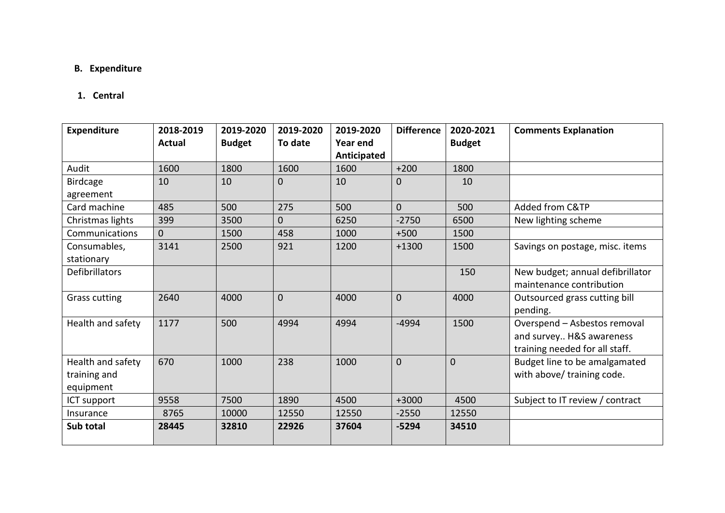### **B. Expenditure**

#### **1. Central**

| <b>Expenditure</b>    | 2018-2019     | 2019-2020     | 2019-2020      | 2019-2020       | <b>Difference</b> | 2020-2021      | <b>Comments Explanation</b>      |
|-----------------------|---------------|---------------|----------------|-----------------|-------------------|----------------|----------------------------------|
|                       | <b>Actual</b> | <b>Budget</b> | To date        | <b>Year end</b> |                   | <b>Budget</b>  |                                  |
|                       |               |               |                | Anticipated     |                   |                |                                  |
| Audit                 | 1600          | 1800          | 1600           | 1600            | $+200$            | 1800           |                                  |
| <b>Birdcage</b>       | 10            | 10            | $\overline{0}$ | 10              | 0                 | 10             |                                  |
| agreement             |               |               |                |                 |                   |                |                                  |
| Card machine          | 485           | 500           | 275            | 500             | $\overline{0}$    | 500            | Added from C&TP                  |
| Christmas lights      | 399           | 3500          | $\overline{0}$ | 6250            | $-2750$           | 6500           | New lighting scheme              |
| Communications        | $\Omega$      | 1500          | 458            | 1000            | $+500$            | 1500           |                                  |
| Consumables,          | 3141          | 2500          | 921            | 1200            | $+1300$           | 1500           | Savings on postage, misc. items  |
| stationary            |               |               |                |                 |                   |                |                                  |
| <b>Defibrillators</b> |               |               |                |                 |                   | 150            | New budget; annual defibrillator |
|                       |               |               |                |                 |                   |                | maintenance contribution         |
| <b>Grass cutting</b>  | 2640          | 4000          | $\overline{0}$ | 4000            | $\mathbf{0}$      | 4000           | Outsourced grass cutting bill    |
|                       |               |               |                |                 |                   |                | pending.                         |
| Health and safety     | 1177          | 500           | 4994           | 4994            | $-4994$           | 1500           | Overspend - Asbestos removal     |
|                       |               |               |                |                 |                   |                | and survey H&S awareness         |
|                       |               |               |                |                 |                   |                | training needed for all staff.   |
| Health and safety     | 670           | 1000          | 238            | 1000            | 0                 | $\overline{0}$ | Budget line to be amalgamated    |
| training and          |               |               |                |                 |                   |                | with above/ training code.       |
| equipment             |               |               |                |                 |                   |                |                                  |
| ICT support           | 9558          | 7500          | 1890           | 4500            | $+3000$           | 4500           | Subject to IT review / contract  |
| Insurance             | 8765          | 10000         | 12550          | 12550           | $-2550$           | 12550          |                                  |
| Sub total             | 28445         | 32810         | 22926          | 37604           | $-5294$           | 34510          |                                  |
|                       |               |               |                |                 |                   |                |                                  |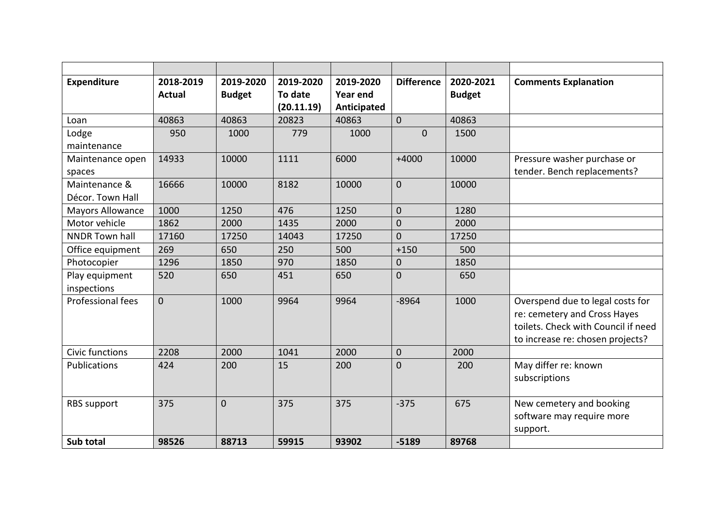| <b>Expenditure</b>                | 2018-2019<br><b>Actual</b> | 2019-2020<br><b>Budget</b> | 2019-2020<br>To date<br>(20.11.19) | 2019-2020<br><b>Year end</b><br>Anticipated | <b>Difference</b> | 2020-2021<br><b>Budget</b> | <b>Comments Explanation</b>                                                                                                                 |
|-----------------------------------|----------------------------|----------------------------|------------------------------------|---------------------------------------------|-------------------|----------------------------|---------------------------------------------------------------------------------------------------------------------------------------------|
| Loan                              | 40863                      | 40863                      | 20823                              | 40863                                       | $\overline{0}$    | 40863                      |                                                                                                                                             |
| Lodge<br>maintenance              | 950                        | 1000                       | 779                                | 1000                                        | $\overline{0}$    | 1500                       |                                                                                                                                             |
| Maintenance open<br>spaces        | 14933                      | 10000                      | 1111                               | 6000                                        | $+4000$           | 10000                      | Pressure washer purchase or<br>tender. Bench replacements?                                                                                  |
| Maintenance &<br>Décor. Town Hall | 16666                      | 10000                      | 8182                               | 10000                                       | $\Omega$          | 10000                      |                                                                                                                                             |
| <b>Mayors Allowance</b>           | 1000                       | 1250                       | 476                                | 1250                                        | $\mathbf 0$       | 1280                       |                                                                                                                                             |
| Motor vehicle                     | 1862                       | 2000                       | 1435                               | 2000                                        | 0                 | 2000                       |                                                                                                                                             |
| <b>NNDR Town hall</b>             | 17160                      | 17250                      | 14043                              | 17250                                       | $\overline{0}$    | 17250                      |                                                                                                                                             |
| Office equipment                  | 269                        | 650                        | 250                                | 500                                         | $+150$            | 500                        |                                                                                                                                             |
| Photocopier                       | 1296                       | 1850                       | 970                                | 1850                                        | 0                 | 1850                       |                                                                                                                                             |
| Play equipment<br>inspections     | 520                        | 650                        | 451                                | 650                                         | 0                 | 650                        |                                                                                                                                             |
| Professional fees                 | $\overline{0}$             | 1000                       | 9964                               | 9964                                        | $-8964$           | 1000                       | Overspend due to legal costs for<br>re: cemetery and Cross Hayes<br>toilets. Check with Council if need<br>to increase re: chosen projects? |
| Civic functions                   | 2208                       | 2000                       | 1041                               | 2000                                        | 0                 | 2000                       |                                                                                                                                             |
| Publications                      | 424                        | 200                        | 15                                 | 200                                         | $\overline{0}$    | 200                        | May differ re: known<br>subscriptions                                                                                                       |
| <b>RBS</b> support                | 375                        | 0                          | 375                                | 375                                         | $-375$            | 675                        | New cemetery and booking<br>software may require more<br>support.                                                                           |
| Sub total                         | 98526                      | 88713                      | 59915                              | 93902                                       | $-5189$           | 89768                      |                                                                                                                                             |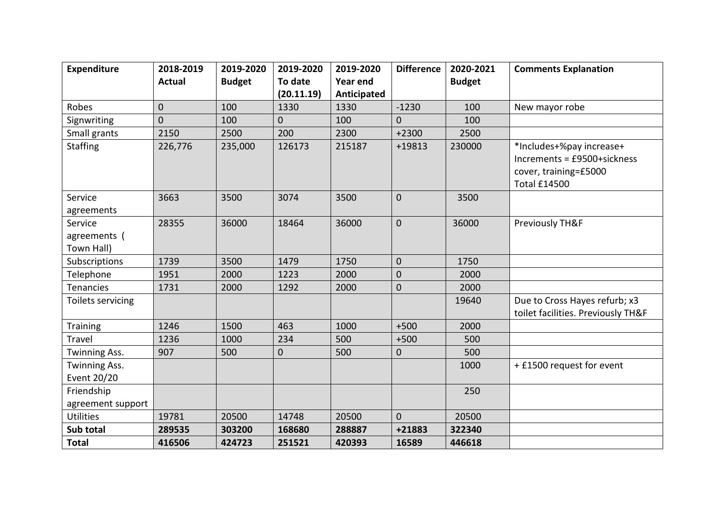| <b>Expenditure</b>                    | 2018-2019     | 2019-2020     | 2019-2020      | 2019-2020   | <b>Difference</b> | 2020-2021     | <b>Comments Explanation</b>                                                      |
|---------------------------------------|---------------|---------------|----------------|-------------|-------------------|---------------|----------------------------------------------------------------------------------|
|                                       | <b>Actual</b> | <b>Budget</b> | To date        | Year end    |                   | <b>Budget</b> |                                                                                  |
|                                       |               |               | (20.11.19)     | Anticipated |                   |               |                                                                                  |
| Robes                                 | $\mathbf 0$   | 100           | 1330           | 1330        | $-1230$           | 100           | New mayor robe                                                                   |
| Signwriting                           | $\mathbf 0$   | 100           | 0              | 100         | 0                 | 100           |                                                                                  |
| Small grants                          | 2150          | 2500          | 200            | 2300        | $+2300$           | 2500          |                                                                                  |
| <b>Staffing</b>                       | 226,776       | 235,000       | 126173         | 215187      | +19813            | 230000        | *Includes+%pay increase+<br>Increments = £9500+sickness<br>cover, training=£5000 |
|                                       |               |               |                |             |                   |               | <b>Total £14500</b>                                                              |
| Service<br>agreements                 | 3663          | 3500          | 3074           | 3500        | $\mathbf 0$       | 3500          |                                                                                  |
| Service<br>agreements (<br>Town Hall) | 28355         | 36000         | 18464          | 36000       | $\mathbf 0$       | 36000         | Previously TH&F                                                                  |
| Subscriptions                         | 1739          | 3500          | 1479           | 1750        | $\mathbf 0$       | 1750          |                                                                                  |
| Telephone                             | 1951          | 2000          | 1223           | 2000        | $\pmb{0}$         | 2000          |                                                                                  |
| <b>Tenancies</b>                      | 1731          | 2000          | 1292           | 2000        | $\mathbf 0$       | 2000          |                                                                                  |
| Toilets servicing                     |               |               |                |             |                   | 19640         | Due to Cross Hayes refurb; x3<br>toilet facilities. Previously TH&F              |
| <b>Training</b>                       | 1246          | 1500          | 463            | 1000        | $+500$            | 2000          |                                                                                  |
| Travel                                | 1236          | 1000          | 234            | 500         | $+500$            | 500           |                                                                                  |
| Twinning Ass.                         | 907           | 500           | $\overline{0}$ | 500         | $\mathbf 0$       | 500           |                                                                                  |
| <b>Twinning Ass.</b><br>Event 20/20   |               |               |                |             |                   | 1000          | + £1500 request for event                                                        |
| Friendship<br>agreement support       |               |               |                |             |                   | 250           |                                                                                  |
| <b>Utilities</b>                      | 19781         | 20500         | 14748          | 20500       | $\Omega$          | 20500         |                                                                                  |
| Sub total                             | 289535        | 303200        | 168680         | 288887      | +21883            | 322340        |                                                                                  |
| <b>Total</b>                          | 416506        | 424723        | 251521         | 420393      | 16589             | 446618        |                                                                                  |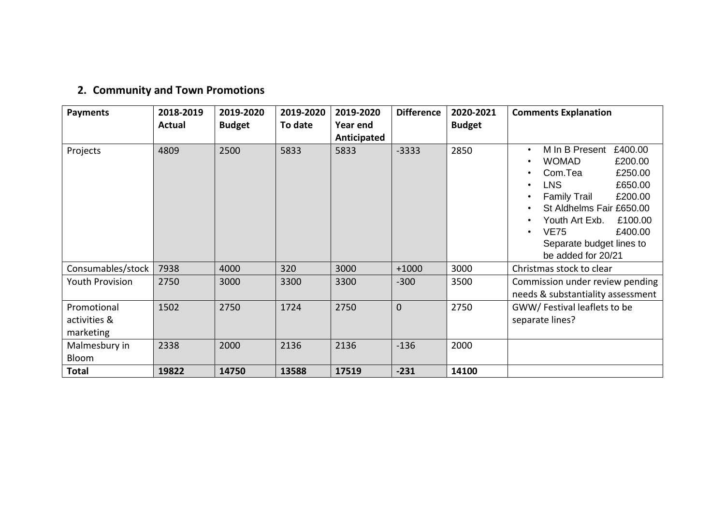# **2. Community and Town Promotions**

| <b>Payments</b>                          | 2018-2019 | 2019-2020     | 2019-2020 | 2019-2020   | <b>Difference</b> | 2020-2021     | <b>Comments Explanation</b>                                                                                                                                                                                                                                                |
|------------------------------------------|-----------|---------------|-----------|-------------|-------------------|---------------|----------------------------------------------------------------------------------------------------------------------------------------------------------------------------------------------------------------------------------------------------------------------------|
|                                          | Actual    | <b>Budget</b> | To date   | Year end    |                   | <b>Budget</b> |                                                                                                                                                                                                                                                                            |
|                                          |           |               |           | Anticipated |                   |               |                                                                                                                                                                                                                                                                            |
| Projects                                 | 4809      | 2500          | 5833      | 5833        | $-3333$           | 2850          | M In B Present<br>£400.00<br><b>WOMAD</b><br>£200.00<br>£250.00<br>Com.Tea<br><b>LNS</b><br>£650.00<br>£200.00<br><b>Family Trail</b><br>St Aldhelms Fair £650.00<br>Youth Art Exb.<br>£100.00<br><b>VE75</b><br>£400.00<br>Separate budget lines to<br>be added for 20/21 |
| Consumables/stock                        | 7938      | 4000          | 320       | 3000        | $+1000$           | 3000          | Christmas stock to clear                                                                                                                                                                                                                                                   |
| <b>Youth Provision</b>                   | 2750      | 3000          | 3300      | 3300        | $-300$            | 3500          | Commission under review pending<br>needs & substantiality assessment                                                                                                                                                                                                       |
| Promotional<br>activities &<br>marketing | 1502      | 2750          | 1724      | 2750        | $\mathbf 0$       | 2750          | GWW/Festival leaflets to be<br>separate lines?                                                                                                                                                                                                                             |
| Malmesbury in<br>Bloom                   | 2338      | 2000          | 2136      | 2136        | $-136$            | 2000          |                                                                                                                                                                                                                                                                            |
| <b>Total</b>                             | 19822     | 14750         | 13588     | 17519       | $-231$            | 14100         |                                                                                                                                                                                                                                                                            |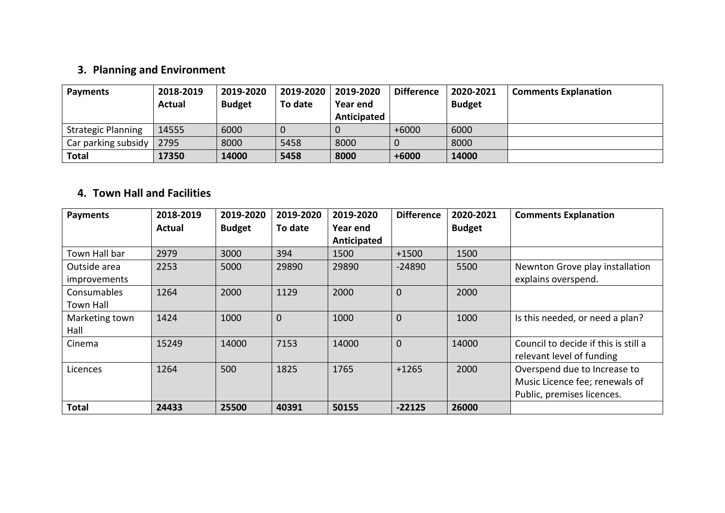### **3. Planning and Environment**

| <b>Payments</b>           | 2018-2019<br><b>Actual</b> | 2019-2020<br><b>Budget</b> | 2019-2020<br>To date | 2019-2020<br>Year end | <b>Difference</b> | 2020-2021<br><b>Budget</b> | <b>Comments Explanation</b> |
|---------------------------|----------------------------|----------------------------|----------------------|-----------------------|-------------------|----------------------------|-----------------------------|
|                           |                            |                            |                      | Anticipated           |                   |                            |                             |
| <b>Strategic Planning</b> | 14555                      | 6000                       |                      |                       | $+6000$           | 6000                       |                             |
| Car parking subsidy       | 2795                       | 8000                       | 5458                 | 8000                  |                   | 8000                       |                             |
| <b>Total</b>              | 17350                      | 14000                      | 5458                 | 8000                  | $+6000$           | 14000                      |                             |

#### **4. Town Hall and Facilities**

| <b>Payments</b>     | 2018-2019 | 2019-2020     | 2019-2020    | 2019-2020   | <b>Difference</b> | 2020-2021     | <b>Comments Explanation</b>          |
|---------------------|-----------|---------------|--------------|-------------|-------------------|---------------|--------------------------------------|
|                     | Actual    | <b>Budget</b> | To date      | Year end    |                   | <b>Budget</b> |                                      |
|                     |           |               |              | Anticipated |                   |               |                                      |
| Town Hall bar       | 2979      | 3000          | 394          | 1500        | $+1500$           | 1500          |                                      |
| Outside area        | 2253      | 5000          | 29890        | 29890       | $-24890$          | 5500          | Newnton Grove play installation      |
| <i>improvements</i> |           |               |              |             |                   |               | explains overspend.                  |
| <b>Consumables</b>  | 1264      | 2000          | 1129         | 2000        | $\overline{0}$    | 2000          |                                      |
| Town Hall           |           |               |              |             |                   |               |                                      |
| Marketing town      | 1424      | 1000          | $\mathbf{0}$ | 1000        | $\Omega$          | 1000          | Is this needed, or need a plan?      |
| Hall                |           |               |              |             |                   |               |                                      |
| Cinema              | 15249     | 14000         | 7153         | 14000       | $\overline{0}$    | 14000         | Council to decide if this is still a |
|                     |           |               |              |             |                   |               | relevant level of funding            |
| Licences            | 1264      | 500           | 1825         | 1765        | $+1265$           | 2000          | Overspend due to Increase to         |
|                     |           |               |              |             |                   |               | Music Licence fee; renewals of       |
|                     |           |               |              |             |                   |               | Public, premises licences.           |
| <b>Total</b>        | 24433     | 25500         | 40391        | 50155       | $-22125$          | 26000         |                                      |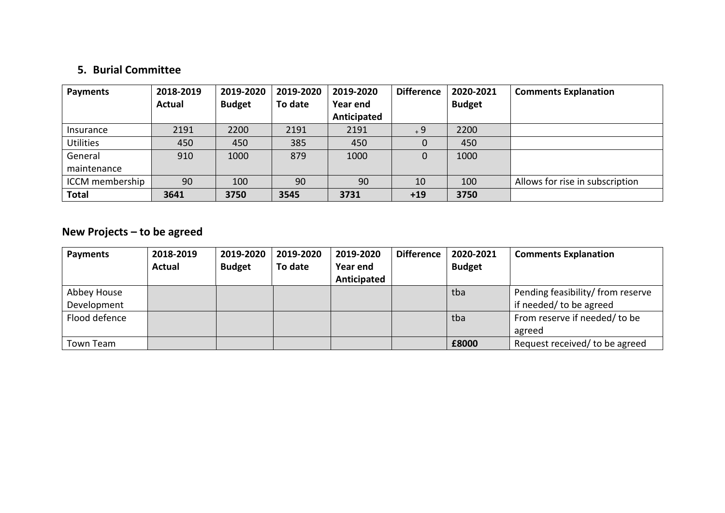### **5. Burial Committee**

| <b>Payments</b>  | 2018-2019     | 2019-2020     | 2019-2020 | 2019-2020   | <b>Difference</b> | 2020-2021     | <b>Comments Explanation</b>     |
|------------------|---------------|---------------|-----------|-------------|-------------------|---------------|---------------------------------|
|                  | <b>Actual</b> | <b>Budget</b> | To date   | Year end    |                   | <b>Budget</b> |                                 |
|                  |               |               |           | Anticipated |                   |               |                                 |
| Insurance        | 2191          | 2200          | 2191      | 2191        | $+9$              | 2200          |                                 |
| <b>Utilities</b> | 450           | 450           | 385       | 450         |                   | 450           |                                 |
| General          | 910           | 1000          | 879       | 1000        |                   | 1000          |                                 |
| maintenance      |               |               |           |             |                   |               |                                 |
| ICCM membership  | 90            | 100           | 90        | 90          | 10                | 100           | Allows for rise in subscription |
| <b>Total</b>     | 3641          | 3750          | 3545      | 3731        | $+19$             | 3750          |                                 |

### **New Projects – to be agreed**

| <b>Payments</b>            | 2018-2019<br><b>Actual</b> | 2019-2020<br><b>Budget</b> | 2019-2020<br>To date | 2019-2020<br>Year end<br>Anticipated | <b>Difference</b> | 2020-2021<br><b>Budget</b> | <b>Comments Explanation</b>                                  |
|----------------------------|----------------------------|----------------------------|----------------------|--------------------------------------|-------------------|----------------------------|--------------------------------------------------------------|
| Abbey House<br>Development |                            |                            |                      |                                      |                   | tba                        | Pending feasibility/ from reserve<br>if needed/ to be agreed |
| Flood defence              |                            |                            |                      |                                      |                   | tba                        | From reserve if needed/ to be<br>agreed                      |
| Town Team                  |                            |                            |                      |                                      |                   | £8000                      | Request received/ to be agreed                               |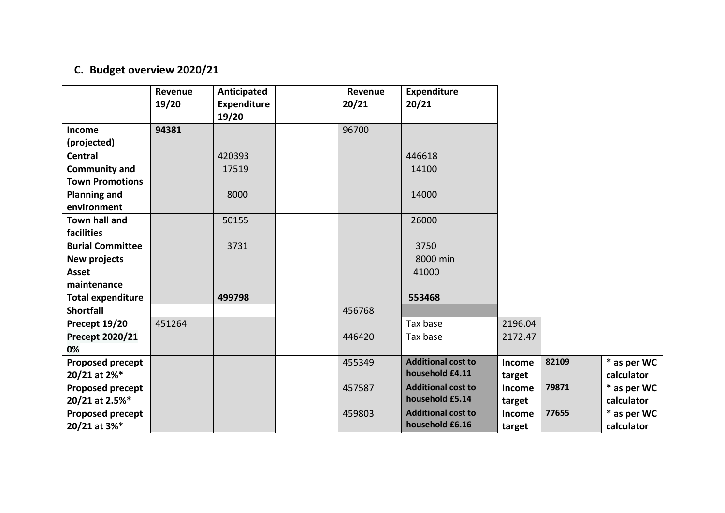# **C. Budget overview 2020/21**

|                          | Revenue<br>19/20 | Anticipated<br><b>Expenditure</b> | Revenue<br>20/21 | <b>Expenditure</b><br>20/21 |               |       |             |
|--------------------------|------------------|-----------------------------------|------------------|-----------------------------|---------------|-------|-------------|
|                          |                  | 19/20                             |                  |                             |               |       |             |
| Income                   | 94381            |                                   | 96700            |                             |               |       |             |
| (projected)              |                  |                                   |                  |                             |               |       |             |
| <b>Central</b>           |                  | 420393                            |                  | 446618                      |               |       |             |
| <b>Community and</b>     |                  | 17519                             |                  | 14100                       |               |       |             |
| <b>Town Promotions</b>   |                  |                                   |                  |                             |               |       |             |
| <b>Planning and</b>      |                  | 8000                              |                  | 14000                       |               |       |             |
| environment              |                  |                                   |                  |                             |               |       |             |
| <b>Town hall and</b>     |                  | 50155                             |                  | 26000                       |               |       |             |
| facilities               |                  |                                   |                  |                             |               |       |             |
| <b>Burial Committee</b>  |                  | 3731                              |                  | 3750                        |               |       |             |
| New projects             |                  |                                   |                  | 8000 min                    |               |       |             |
| <b>Asset</b>             |                  |                                   |                  | 41000                       |               |       |             |
| maintenance              |                  |                                   |                  |                             |               |       |             |
| <b>Total expenditure</b> |                  | 499798                            |                  | 553468                      |               |       |             |
| <b>Shortfall</b>         |                  |                                   | 456768           |                             |               |       |             |
| Precept 19/20            | 451264           |                                   |                  | Tax base                    | 2196.04       |       |             |
| Precept 2020/21          |                  |                                   | 446420           | Tax base                    | 2172.47       |       |             |
| 0%                       |                  |                                   |                  |                             |               |       |             |
| <b>Proposed precept</b>  |                  |                                   | 455349           | <b>Additional cost to</b>   | <b>Income</b> | 82109 | * as per WC |
| 20/21 at 2%*             |                  |                                   |                  | household £4.11             | target        |       | calculator  |
| <b>Proposed precept</b>  |                  |                                   | 457587           | <b>Additional cost to</b>   | Income        | 79871 | * as per WC |
| 20/21 at 2.5%*           |                  |                                   |                  | household £5.14             | target        |       | calculator  |
| <b>Proposed precept</b>  |                  |                                   | 459803           | <b>Additional cost to</b>   | Income        | 77655 | * as per WC |
| 20/21 at 3%*             |                  |                                   |                  | household £6.16             | target        |       | calculator  |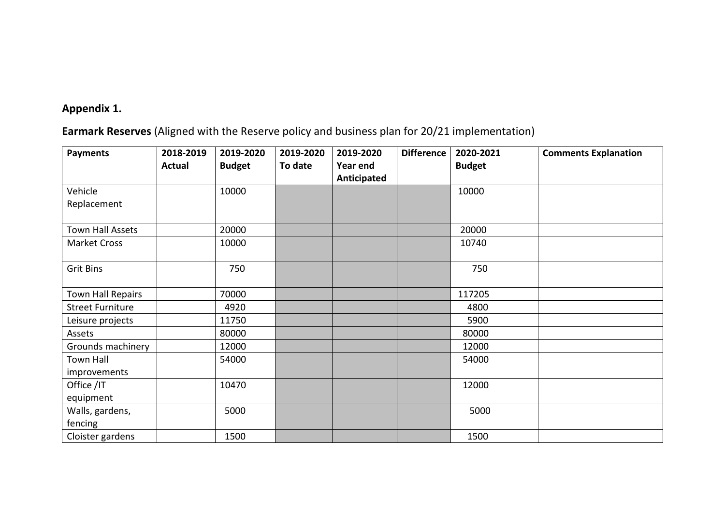### **Appendix 1.**

# **Earmark Reserves** (Aligned with the Reserve policy and business plan for 20/21 implementation)

| <b>Payments</b>         | 2018-2019     | 2019-2020     | 2019-2020 | 2019-2020   | <b>Difference</b> | 2020-2021     | <b>Comments Explanation</b> |
|-------------------------|---------------|---------------|-----------|-------------|-------------------|---------------|-----------------------------|
|                         | <b>Actual</b> | <b>Budget</b> | To date   | Year end    |                   | <b>Budget</b> |                             |
|                         |               |               |           | Anticipated |                   |               |                             |
| Vehicle                 |               | 10000         |           |             |                   | 10000         |                             |
| Replacement             |               |               |           |             |                   |               |                             |
|                         |               |               |           |             |                   |               |                             |
| Town Hall Assets        |               | 20000         |           |             |                   | 20000         |                             |
| <b>Market Cross</b>     |               | 10000         |           |             |                   | 10740         |                             |
|                         |               |               |           |             |                   |               |                             |
| <b>Grit Bins</b>        |               | 750           |           |             |                   | 750           |                             |
|                         |               |               |           |             |                   |               |                             |
| Town Hall Repairs       |               | 70000         |           |             |                   | 117205        |                             |
| <b>Street Furniture</b> |               | 4920          |           |             |                   | 4800          |                             |
| Leisure projects        |               | 11750         |           |             |                   | 5900          |                             |
| Assets                  |               | 80000         |           |             |                   | 80000         |                             |
| Grounds machinery       |               | 12000         |           |             |                   | 12000         |                             |
| <b>Town Hall</b>        |               | 54000         |           |             |                   | 54000         |                             |
| improvements            |               |               |           |             |                   |               |                             |
| Office /IT              |               | 10470         |           |             |                   | 12000         |                             |
| equipment               |               |               |           |             |                   |               |                             |
| Walls, gardens,         |               | 5000          |           |             |                   | 5000          |                             |
| fencing                 |               |               |           |             |                   |               |                             |
| Cloister gardens        |               | 1500          |           |             |                   | 1500          |                             |